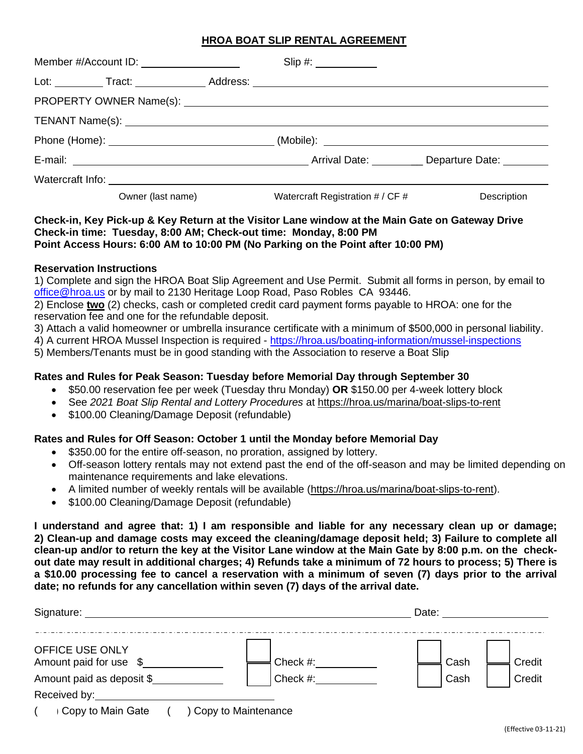## **HROA BOAT SLIP RENTAL AGREEMENT**

| Member #/Account ID: _____________________ | $Slip \#:\underline{\hspace{2cm}}$                                      |             |
|--------------------------------------------|-------------------------------------------------------------------------|-------------|
|                                            |                                                                         |             |
|                                            |                                                                         |             |
|                                            |                                                                         |             |
|                                            |                                                                         |             |
|                                            | E-mail: Departure Date: Departure Date: Departure Date: Departure Date: |             |
|                                            |                                                                         |             |
| Owner (last name)                          | Watercraft Registration # / CF #                                        | Description |

### **Check-in, Key Pick-up & Key Return at the Visitor Lane window at the Main Gate on Gateway Drive Check-in time: Tuesday, 8:00 AM; Check-out time: Monday, 8:00 PM Point Access Hours: 6:00 AM to 10:00 PM (No Parking on the Point after 10:00 PM)**

#### **Reservation Instructions**

1) Complete and sign the HROA Boat Slip Agreement and Use Permit. Submit all forms in person, by email to [office@hroa.us](mailto:office@hroa.us) or by mail to 2130 Heritage Loop Road, Paso Robles CA 93446.

2) Enclose **two** (2) checks, cash or completed credit card payment forms payable to HROA: one for the reservation fee and one for the refundable deposit.

3) Attach a valid homeowner or umbrella insurance certificate with a minimum of \$500,000 in personal liability.

4) A current HROA Mussel Inspection is required - [https://hroa.us/boating-information/mussel-inspections](https://hroa.us/boating-information/mussel-inspections%205)

[5\)](https://hroa.us/boating-information/mussel-inspections%205) Members/Tenants must be in good standing with the Association to reserve a Boat Slip

### **Rates and Rules for Peak Season: Tuesday before Memorial Day through September 30**

- \$50.00 reservation fee per week (Tuesday thru Monday) **OR** \$150.00 per 4-week lottery block
- See *2021 Boat Slip Rental and Lottery Procedures* at https://hroa.us/marina/boat-slips-to-rent
- \$100.00 Cleaning/Damage Deposit (refundable)

#### **Rates and Rules for Off Season: October 1 until the Monday before Memorial Day**

- \$350.00 for the entire off-season, no proration, assigned by lottery.
- Off-season lottery rentals may not extend past the end of the off-season and may be limited depending on maintenance requirements and lake elevations.
- A limited number of weekly rentals will be available (https://hroa.us/marina/boat-slips-to-rent).
- \$100.00 Cleaning/Damage Deposit (refundable)

**I understand and agree that: 1) I am responsible and liable for any necessary clean up or damage; 2) Clean-up and damage costs may exceed the cleaning/damage deposit held; 3) Failure to complete all clean-up and/or to return the key at the Visitor Lane window at the Main Gate by 8:00 p.m. on the checkout date may result in additional charges; 4) Refunds take a minimum of 72 hours to process; 5) There is a \$10.00 processing fee to cancel a reservation with a minimum of seven (7) days prior to the arrival date; no refunds for any cancellation within seven (7) days of the arrival date.**

| Signature:                                |          | Date: |        |  |
|-------------------------------------------|----------|-------|--------|--|
| OFFICE USE ONLY<br>Amount paid for use \$ | Check #: | Cash  | Credit |  |
| Amount paid as deposit \$                 | Check #: | Cash  | Credit |  |
| Received by:                              |          |       |        |  |
|                                           |          |       |        |  |

( ) Copy to Main Gate ( ) Copy to Maintenance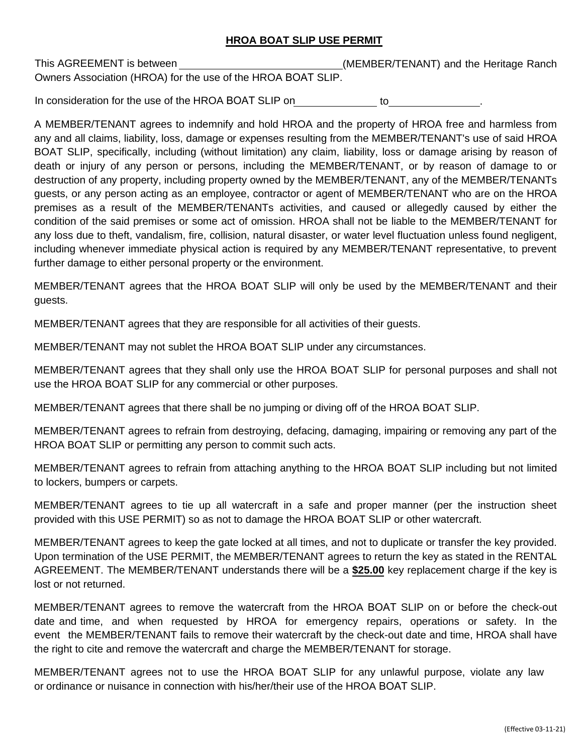## **HROA BOAT SLIP USE PERMIT**

This AGREEMENT is between (MEMBER/TENANT) and the Heritage Ranch Owners Association (HROA) for the use of the HROA BOAT SLIP.

In consideration for the use of the HROA BOAT SLIP on to .

A MEMBER/TENANT agrees to indemnify and hold HROA and the property of HROA free and harmless from any and all claims, liability, loss, damage or expenses resulting from the MEMBER/TENANT's use of said HROA BOAT SLIP, specifically, including (without limitation) any claim, liability, loss or damage arising by reason of death or injury of any person or persons, including the MEMBER/TENANT, or by reason of damage to or destruction of any property, including property owned by the MEMBER/TENANT, any of the MEMBER/TENANTs guests, or any person acting as an employee, contractor or agent of MEMBER/TENANT who are on the HROA premises as a result of the MEMBER/TENANTs activities, and caused or allegedly caused by either the condition of the said premises or some act of omission. HROA shall not be liable to the MEMBER/TENANT for any loss due to theft, vandalism, fire, collision, natural disaster, or water level fluctuation unless found negligent, including whenever immediate physical action is required by any MEMBER/TENANT representative, to prevent further damage to either personal property or the environment.

MEMBER/TENANT agrees that the HROA BOAT SLIP will only be used by the MEMBER/TENANT and their guests.

MEMBER/TENANT agrees that they are responsible for all activities of their guests.

MEMBER/TENANT may not sublet the HROA BOAT SLIP under any circumstances.

MEMBER/TENANT agrees that they shall only use the HROA BOAT SLIP for personal purposes and shall not use the HROA BOAT SLIP for any commercial or other purposes.

MEMBER/TENANT agrees that there shall be no jumping or diving off of the HROA BOAT SLIP.

MEMBER/TENANT agrees to refrain from destroying, defacing, damaging, impairing or removing any part of the HROA BOAT SLIP or permitting any person to commit such acts.

MEMBER/TENANT agrees to refrain from attaching anything to the HROA BOAT SLIP including but not limited to lockers, bumpers or carpets.

MEMBER/TENANT agrees to tie up all watercraft in a safe and proper manner (per the instruction sheet provided with this USE PERMIT) so as not to damage the HROA BOAT SLIP or other watercraft.

MEMBER/TENANT agrees to keep the gate locked at all times, and not to duplicate or transfer the key provided. Upon termination of the USE PERMIT, the MEMBER/TENANT agrees to return the key as stated in the RENTAL AGREEMENT. The MEMBER/TENANT understands there will be a **\$25.00** key replacement charge if the key is lost or not returned.

MEMBER/TENANT agrees to remove the watercraft from the HROA BOAT SLIP on or before the check-out date and time, and when requested by HROA for emergency repairs, operations or safety. In the event the MEMBER/TENANT fails to remove their watercraft by the check-out date and time, HROA shall have the right to cite and remove the watercraft and charge the MEMBER/TENANT for storage.

MEMBER/TENANT agrees not to use the HROA BOAT SLIP for any unlawful purpose, violate any law or ordinance or nuisance in connection with his/her/their use of the HROA BOAT SLIP.